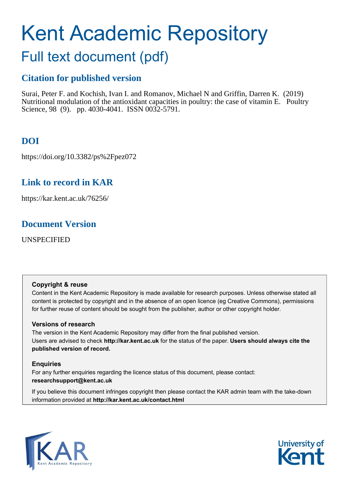# Kent Academic Repository

## Full text document (pdf)

## **Citation for published version**

Surai, Peter F. and Kochish, Ivan I. and Romanov, Michael N and Griffin, Darren K. (2019) Nutritional modulation of the antioxidant capacities in poultry: the case of vitamin E. Poultry Science, 98 (9). pp. 4030-4041. ISSN 0032-5791.

## **DOI**

https://doi.org/10.3382/ps%2Fpez072

## **Link to record in KAR**

https://kar.kent.ac.uk/76256/

### **Document Version**

UNSPECIFIED

#### **Copyright & reuse**

Content in the Kent Academic Repository is made available for research purposes. Unless otherwise stated all content is protected by copyright and in the absence of an open licence (eg Creative Commons), permissions for further reuse of content should be sought from the publisher, author or other copyright holder.

#### **Versions of research**

The version in the Kent Academic Repository may differ from the final published version. Users are advised to check **http://kar.kent.ac.uk** for the status of the paper. **Users should always cite the published version of record.**

#### **Enquiries**

For any further enquiries regarding the licence status of this document, please contact: **researchsupport@kent.ac.uk**

If you believe this document infringes copyright then please contact the KAR admin team with the take-down information provided at **http://kar.kent.ac.uk/contact.html**



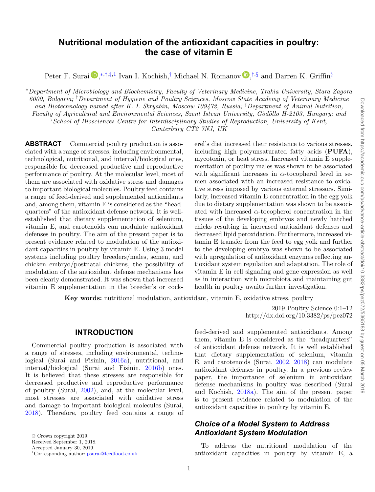$\vec{\circ}$ 

#### **Nutritional modulation of the antioxidant capacities in poultry: the case of vitamin E**

Peter F. Surai D[,](http://orcid.org/0000-0003-3584-4644)<sup>\*,†,‡,1</sup> Ivan I. Kochish,<sup>†</sup> Michael N. Romanov D,<sup>†,§</sup> and Darren K. Griffin<sup>§</sup>

<sup>∗</sup>*Department of Microbiology and Biochemistry, Faculty of Veterinary Medicine, Trakia University, Stara Zagora 6000, Bulgaria;* † *Department of Hygiene and Poultry Sciences, Moscow State Academy of Veterinary Medicine and Biotechnology named after K. I. Skryabin, Moscow 109472, Russia;* ‡ *Department of Animal Nutrition, Faculty of Agricultural and Environmental Sciences, Szent Istvan University, Gödöllo H-2103, Hungary; and* § *School of Biosciences Centre for Interdisciplinary Studies of Reproduction, University of Kent, Canterbury CT2 7NJ, UK*

**ABSTRACT** Commercial poultry production is associated with a range of stresses, including environmental, technological, nutritional, and internal/biological ones, responsible for decreased productive and reproductive performance of poultry. At the molecular level, most of them are associated with oxidative stress and damages to important biological molecules. Poultry feed contains a range of feed-derived and supplemented antioxidants and, among them, vitamin E is considered as the "headquarters" of the antioxidant defense network. It is wellestablished that dietary supplementation of selenium, vitamin E, and carotenoids can modulate antioxidant defenses in poultry. The aim of the present paper is to present evidence related to modulation of the antioxidant capacities in poultry by vitamin E. Using 3 model systems including poultry breeders/males, semen, and chicken embryo/postnatal chickens, the possibility of modulation of the antioxidant defense mechanisms has been clearly demonstrated. It was shown that increased vitamin E supplementation in the breeder's or cock-

erel's diet increased their resistance to various stresses, including high polyunsaturated fatty acids (**PUFA**), mycotoxin, or heat stress. Increased vitamin E supplementation of poultry males was shown to be associated with significant increases in  $\alpha$ -tocopherol level in semen associated with an increased resistance to oxidative stress imposed by various external stressors. Similarly, increased vitamin E concentration in the egg yolk due to dietary supplementation was shown to be associated with increased  $\alpha$ -tocopherol concentration in the tissues of the developing embryos and newly hatched chicks resulting in increased antioxidant defenses and decreased lipid peroxidation. Furthermore, increased vitamin E transfer from the feed to egg yolk and further to the developing embryo was shown to be associated with upregulation of antioxidant enzymes reflecting antioxidant system regulation and adaptation. The role of vitamin E in cell signaling and gene expression as well as in interaction with microbiota and maintaining gut health in poultry awaits further investigation.

**Key words:** nutritional modulation, antioxidant, vitamin E, oxidative stress, poultry

**INTRODUCTION**

Commercial poultry production is associated with a range of stresses, including environmental, technological (Surai and Fisinin, 2016a), nutritional, and internal/biological (Surai and Fisinin, 2016b) ones. It is believed that these stresses are responsible for decreased productive and reproductive performance of poultry (Surai, 2002), and, at the molecular level, most stresses are associated with oxidative stress and damage to important biological molecules (Surai, 2018). Therefore, poultry feed contains a range of

2019 Poultry Science 0:1–12 http://dx.doi.org/10.3382/ps/pez072

feed-derived and supplemented antioxidants. Among them, vitamin E is considered as the "headquarters" of antioxidant defense network. It is well established that dietary supplementation of selenium, vitamin E, and carotenoids (Surai, 2002, 2018) can modulate antioxidant defenses in poultry. In a previous review paper, the importance of selenium in antioxidant defense mechanisms in poultry was described (Surai and Kochish, 2018a). The aim of the present paper is to present evidence related to modulation of the antioxidant capacities in poultry by vitamin E.

#### *Choice of a Model System to Address Antioxidant System Modulation*

To address the nutritional modulation of the antioxidant capacities in poultry by vitamin E, a

<sup>-</sup><sup>C</sup> Crown copyright 2019.

Received September 1, 2018.

Accepted January 30, 2019.

<sup>1</sup>Corresponding author: [psurai@feedfood.co.uk](mailto:psurai@feedfood.co.uk)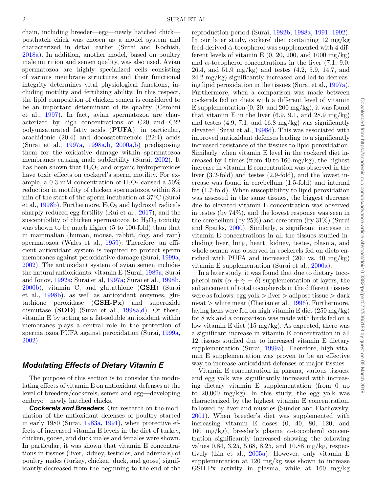chain, including breeder—egg—newly hatched chick posthatch chick was chosen as a model system and characterized in detail earlier (Surai and Kochish, 2018a). In addition, another model, based on poultry male nutrition and semen quality, was also used. Avian spermatozoa are highly specialized cells consisting of various membrane structures and their functional integrity determines vital physiological functions, including motility and fertilizing ability. In this respect, the lipid composition of chicken semen is considered to be an important determinant of its quality (Cerolini et al*.*, 1997). In fact, avian spermatozoa are characterized by high concentrations of C20 and C22 polyunsaturated fatty acids (**PUFA**), in particular, arachidonic (20:4) and docosatetraenoic (22:4) acids (Surai et al., 1997a, 1998a,b, 2000a,b) predisposing them for the oxidative damage within spermatozoa membranes causing male subfertility (Surai, 2002). It has been shown that  $H_2O_2$  and organic hydroperoxides have toxic effects on cockerel's sperm motility. For example, a 0.3 mM concentration of  $H_2O_2$  caused a 50% reduction in motility of chicken spermatozoa within 8.5 min of the start of the sperm incubation at 37◦C (Surai et al., 1998b). Furthermore,  $H_2O_2$  and hydroxyl radicals sharply reduced egg fertility (Rui et al., 2017), and the susceptibility of chicken spermatozoa to  $H_2O_2$  toxicity was shown to be much higher (5 to 100-fold) than that in mammalian (human, mouse, rabbit, dog, and ram) spermatozoa (Wales et al., 1959). Therefore, an efficient antioxidant system is required to protect sperm membranes against peroxidative damage (Surai, 1999a, 2002). The antioxidant system of avian semen includes the natural antioxidants: vitamin E (Surai, 1989a; Surai and Ionov, 1992a; Surai et al, 1997a; Surai et al., 1998b, 2000b), vitamin C, and glutathione (**GSH**) (Surai et al., 1998b), as well as antioxidant enzymes, glutathione peroxidase (**GSH-Px**) and superoxide dismutase (**SOD**) (Surai et al., 1998a,d). Of these, vitamin E by acting as a fat-soluble antioxidant within membranes plays a central role in the protection of spermatozoa PUFA against peroxidation (Surai, 1999a, 2002).

#### *Modulating Effects of Dietary Vitamin E*

The purpose of this section is to consider the modulating effects of vitamin E on antioxidant defenses at the level of breeders/cockerels, semen and egg—developing embryo—newly hatched chicks.

*Cockerels and Breeders* Our research on the modulation of the antioxidant defenses of poultry started in early 1980 (Surai, 1983a, 1991), when protective effects of increased vitamin E levels in the diet of turkey, chicken, goose, and duck males and females were shown. In particular, it was shown that vitamin E concentrations in tissues (liver, kidney, testicles, and adrenals) of poultry males (turkey, chicken, duck, and goose) significantly decreased from the beginning to the end of the reproduction period (Surai, 1982b, 1988a, 1991, 1992). In our later study, cockerel diet containing 12 mg/kg feed-derived  $\alpha$ -tocopherol was supplemented with 4 different levels of vitamin E  $(0, 20, 200, \text{ and } 1000 \text{ mg/kg})$ and  $\alpha$ -tocopherol concentrations in the liver (7.1, 9.0, 26.4, and 51.9 mg/kg) and testes (4.2, 5.9, 14.7, and 24.2 mg/kg) significantly increased and led to decreasing lipid peroxidation in the tissues (Surai et al., 1997a). Furthermore, when a comparison was made between cockerels fed on diets with a different level of vitamin E supplementation  $(0, 20, \text{ and } 200 \text{ mg/kg})$ , it was found that vitamin E in the liver  $(6.9, 9.1, \text{ and } 28.9 \text{ mg/kg})$ and testes  $(4.9, 7.1, \text{ and } 16.8 \text{ mg/kg})$  was significantly elevated (Surai et al., 1998d). This was associated with improved antioxidant defenses leading to a significantly increased resistance of the tissues to lipid peroxidation. Similarly, when vitamin E level in the cockerel diet increased by 4 times (from 40 to 160 mg/kg), the highest increase in vitamin E concentration was observed in the liver (3.2-fold) and testes (2.9-fold), and the lowest increase was found in cerebellum (1.5-fold) and internal fat (1.7-fold). When susceptibility to lipid peroxidation was assessed in the same tissues, the biggest decrease due to elevated vitamin E concentration was observed in testes (by 74%), and the lowest response was seen in the cerebellum (by 25%) and cerebrum (by 31%) (Surai and Sparks, 2000). Similarly, a significant increase in vitamin E concentrations in all the tissues studied including liver, lung, heart, kidney, testes, plasma, and whole semen was observed in cockerels fed on diets enriched with PUFA and increased  $(200 \text{ vs. } 40 \text{ mg/kg})$ vitamin E supplementation (Surai et al., 2000a).

In a later study, it was found that due to dietary tocopherol mix  $(\alpha + \gamma + \delta)$  supplementation of layers, the enhancement of total tocopherols in the different tissues were as follows: egg yolk > liver > adipose tissue > dark  $meat >$  white meat (Cherian et al., 1996). Furthermore, laying hens were fed on high vitamin E diet (250 mg/kg) for 8 wk and a comparison was made with birds fed on a low vitamin E diet  $(15 \text{ mg/kg})$ . As expected, there was a significant increase in vitamin E concentration in all 12 tissues studied due to increased vitamin E dietary supplementation (Surai, 1999a). Therefore, high vitamin E supplementation was proven to be an effective way to increase antioxidant defenses of major tissues.

Vitamin E concentration in plasma, various tissues, and egg yolk was significantly increased with increasing dietary vitamin E supplementation (from 0 up to  $20,000 \text{ mg/kg}$ . In this study, the egg yolk was characterized by the highest vitamin E concentration, followed by liver and muscles (Sünder and Flachowsky, 2001). When breeder's diet was supplemented with increasing vitamin E doses (0, 40, 80, 120, and 160 mg/kg), breeder's plasma  $\alpha$ -tocopherol concentration significantly increased showing the following values 0.84, 3.25, 5.68, 8.25, and 10.88 mg/kg, respectively (Lin et al., 2005a). However, only vitamin E supplementation at 120 mg/kg was shown to increase GSH-Px activity in plasma, while at 160 mg/kg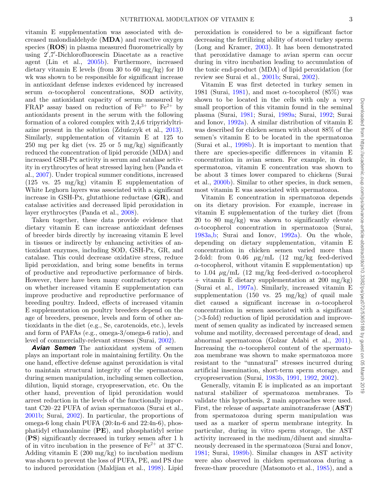vitamin E supplementation was associated with decreased malondialdehyde (**MDA**) and reactive oxygen species (**ROS**) in plasma measured fluorometrically by using 2 ,7 -Dichlorofluorescin Diacetate as a reactive agent (Lin et al., 2005b). Furthermore, increased dietary vitamin E levels (from 30 to 60 mg/kg) for 10 wk was shown to be responsible for significant increase in antioxidant defense indexes evidenced by increased serum  $\alpha$ -tocopherol concentrations, SOD activity, and the antioxidant capacity of serum measured by FRAP assay based on reduction of  $Fe^{3+}$  to  $Fe^{2+}$  by antioxidants present in the serum with the following formation of a colored complex with 2,4,6 tripyridyltriazine present in the solution  $(Zduńczyk et al., 2013)$ . Similarly, supplementation of vitamin E at 125 to 250 mg per kg diet (vs. 25 or 5 mg/kg) significantly reduced the concentration of lipid peroxide (MDA) and increased GSH-Px activity in serum and catalase activity in erythrocytes of heat stressed laying hen (Panda et al., 2007). Under tropical summer conditions, increased (125 vs. 25 mg/kg) vitamin E supplementation of White Leghorn layers was associated with a significant increase in GSH-Px, glutathione reductase (**GR**), and catalase activities and decreased lipid peroxidation in layer erythrocytes (Panda et al., 2008).

Taken together, these data provide evidence that dietary vitamin E can increase antioxidant defenses of breeder birds directly by increasing vitamin E level in tissues or indirectly by enhancing activities of antioxidant enzymes, including SOD, GSH-Px, GR, and catalase. This could decrease oxidative stress, reduce lipid peroxidation, and bring some benefits in terms of productive and reproductive performance of birds. However, there have been many contradictory reports on whether increased vitamin E supplementation can improve productive and reproductive performance of breeding poultry. Indeed, effects of increased vitamin E supplementation on poultry breeders depend on the age of breeders, presence, levels and form of other antioxidants in the diet (e.g., Se, carotenoids, etc.), levels and form of PAFAs (e.g., omega-3/omega-6 ratio), and level of commercially-relevant stresses (Surai, 2002).

*Avian Semen* The antioxidant system of semen plays an important role in maintaining fertility. On the one hand, effective defense against peroxidation is vital to maintain structural integrity of the spermatozoa during semen manipulation, including semen collection, dilution, liquid storage, cryopreservation, etc. On the other hand, prevention of lipid peroxidation would arrest reduction in the levels of the functionally important C20–22 PUFA of avian spermatozoa (Surai et al., 2001b; Surai, 2002). In particular, the proportions of omega-6 long chain PUFA (20:4n-6 and 22:4n-6), phosphatidyl ethanolamine (**PE**), and phosphatidyl serine (**PS**) significantly decreased in turkey semen after 1 h of in vitro incubation in the presence of  $Fe^{2+}$  at 37°C. Adding vitamin  $E(200 \text{ mg/kg})$  to incubation medium was shown to prevent the loss of PUFA, PE, and PS due to induced peroxidation (Maldjian et al., 1998). Lipid

peroxidation is considered to be a significant factor decreasing the fertilizing ability of stored turkey sperm (Long and Kramer, 2003). It has been demonstrated that peroxidative damage to avian sperm can occur during in vitro incubation leading to accumulation of the toxic end-product (MDA) of lipid peroxidation (for review see Surai et al., 2001b; Surai, 2002).

Vitamin E was first detected in turkey semen in 1981 (Surai, 1981), and most  $\alpha$ -tocopherol (85%) was shown to be located in the cells with only a very small proportion of this vitamin found in the seminal plasma (Surai, 1981; Surai, 1989a; Surai, 1992; Surai and Ionov, 1992a). A similar distribution of vitamin E was described for chicken semen with about 88% of the semen's vitamin E to be located in the spermatozoa (Surai et al., 1998b). It is important to mention that there are species-specific differences in vitamin E concentration in avian semen. For example, in duck spermatozoa, vitamin E concentration was shown to be about 3 times lower compared to chickens (Surai et al., 2000b). Similar to other species, in duck semen, most vitamin E was associated with spermatozoa.

Vitamin E concentration in spermatozoa depends on its dietary provision. For example, increase in vitamin E supplementation of the turkey diet (from 20 to 80 mg/kg) was shown to significantly elevate  $\alpha$ -tocopherol concentration in spermatozoa (Surai, 1983a,b; Surai and Ionov, 1992a). On the whole, depending on dietary supplementation, vitamin E concentration in chicken semen varied more than 2-fold: from  $0.46 \mu g/mL$   $(12 \mu g/kg$  feed-derived  $\alpha$ -tocopherol, without vitamin E supplementation) up to 1.04  $\mu$ g/mL (12 mg/kg feed-derived  $\alpha$ -tocopherol  $+$  vitamin E dietary supplementation at 200 mg/kg) (Surai et al., 1997a). Similarly, increased vitamin E supplementation  $(150 \text{ vs. } 25 \text{ mg/kg})$  of quail male diet caused a significant increase in  $\alpha$ -tocopherol concentration in semen associated with a significant (>3-fold) reduction of lipid peroxidation and improvement of semen quality as indicated by increased semen volume and motility, decreased percentage of dead, and abnormal spermatozoa (Golzar Adabi et al., 2011). Increasing the  $\alpha$ -tocopherol content of the spermatozoa membrane was shown to make spermatozoa more resistant to the "unnatural" stresses incurred during artificial insemination, short-term sperm storage, and cryopreservation (Surai, 1983b, 1991, 1992, 2002).

Generally, vitamin E is implicated as an important natural stabilizer of spermatozoa membranes. To validate this hypothesis, 2 main approaches were used. First, the release of aspartate aminotransferase (**AST**) from spermatozoa during sperm manipulation was used as a marker of sperm membrane integrity. In particular, during in vitro sperm storage, the AST activity increased in the medium/diluent and simultaneously decreased in the spermatozoa (Surai and Ionov, 1981; Surai, 1989b). Similar changes in AST activity were also observed in chicken spermatozoa during a freeze-thaw procedure (Matsomoto et al., 1985), and a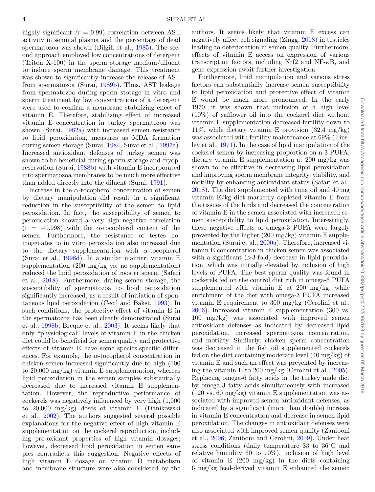highly significant  $(r = 0.99)$  correlation between AST activity in seminal plasma and the percentage of dead spermatozoa was shown (Bilgili et al., 1985). The second approach employed low concentrations of detergent (Triton X-100) in the sperm storage medium/diluent to induce sperm membrane damage. This treatment was shown to significantly increase the release of AST from spermatozoa (Surai, 1989b). Thus, AST leakage from spermatozoa during sperm storage in vitro and sperm treatment by low concentrations of a detergent were used to confirm a membrane stabilizing effect of vitamin E. Therefore, stabilizing effect of increased vitamin E concentration in turkey spermatozoa was shown (Surai, 1982a) with increased semen resistance to lipid peroxidation, measures as MDA formation during semen storage (Surai, 1984; Surai et al., 1997a). Increased antioxidant defenses of turkey semen was shown to be beneficial during sperm storage and cryopreservation (Surai, 1988b) with vitamin E incorporated into spermatozoa membranes to be much more effective than added directly into the diluent (Surai, 1991).

Increase in the  $\alpha$ -tocopherol concentration of semen by dietary manipulation did result in a significant reduction in the susceptibility of the semen to lipid peroxidation. In fact, the susceptibility of semen to peroxidation showed a very high negative correlation  $(r = -0.998)$  with the  $\alpha$ -tocopherol content of the semen. Furthermore, the resistance of testes homogenates to in vitro peroxidation also increased due to the dietary supplementation with  $\alpha$ -tocopherol (Surai et al., 1998d). In a similar manner, vitamin E supplementation (200 mg/kg vs. no supplementation) reduced the lipid peroxidation of rooster sperm (Safari et al., 2018). Furthermore, during semen storage, the susceptibility of spermatozoa to lipid peroxidation significantly increased, as a result of initiation of spontaneous lipid peroxidation (Cecil and Bakst, 1993). In such conditions, the protective effect of vitamin E in the spermatozoa has been clearly demonstrated (Surai et al., 1998b; Breque et al., 2003). It seems likely that only "physiological" levels of vitamin E in the chicken diet could be beneficial for semen quality and protective effects of vitamin E have some species-specific differences. For example, the  $\alpha$ -tocopherol concentration in chicken semen increased significantly due to high (100 to  $20,000 \text{ mg/kg}$  vitamin E supplementation, whereas lipid peroxidation in the semen samples substantially decreased due to increased vitamin E supplementation. However, the reproductive performance of cockerels was negatively influenced by very high (1,000 to 20,000 mg/kg) doses of vitamin E (Danikowski et al., 2002). The authors suggested several possible explanations for the negative effect of high vitamin E supplementation on the cockerel reproduction, including pro-oxidant properties of high vitamin dosages; however, decreased lipid peroxidation in semen samples contradicts this suggestion. Negative effects of high vitamin E dosage on vitamin D metabolism and membrane structure were also considered by the authors. It seems likely that vitamin E excess can negatively affect cell signaling (Zingg, 2018) in testicles leading to deterioration in semen quality. Furthermore, effects of vitamin E access on expression of various transcription factors, including Nrf2 and NF- $\kappa$ B, and gene expression await further investigation.

Furthermore, lipid manipulation and various stress factors can substantially increase semen susceptibility to lipid peroxidation and protective effect of vitamin E would be much more pronounced. In the early 1970, it was shown that inclusion of a high level (10%) of safflower oil into the cockerel diet without vitamin E supplementation decreased fertility down to 11%, while dietary vitamin E provision  $(32.4 \text{ mg/kg})$ was associated with fertility maintenance at  $69\%$  (Tinsley et al., 1971). In the case of lipid manipulation of the cockerel semen by increasing proportion on n-3 PUFA, dietary vitamin E supplementation at 200 mg/kg was shown to be effective in decreasing lipid peroxidation and improving sperm membrane integrity, viability, and motility by enhancing antioxidant status (Safari et al., 2018). The diet supplemented with tuna oil and 40 mg vitamin E/kg diet markedly depleted vitamin E from the tissues of the birds and decreased the concentration of vitamin E in the semen associated with increased semen susceptibility to lipid peroxidation. Interestingly, these negative effects of omega-3 PUFA were largely prevented by the higher  $(200 \text{ mg/kg})$  vitamin E supplementation (Surai et al., 2000a). Therefore, increased vitamin E concentration in chicken semen was associated with a significant  $($ >3-fold) decrease in lipid peroxidation, which was initially elevated by inclusion of high levels of PUFA. The best sperm quality was found in cockerels fed on the control diet rich in omega-6 PUFA supplemented with vitamin E at 200 mg/kg, while enrichment of the diet with omega-3 PUFA increased vitamin E requirement to 300 mg/kg (Cerolini et al., 2006). Increased vitamin E supplementation (300 vs. 100 mg/kg) was associated with improved semen antioxidant defenses as indicated by decreased lipid peroxidation, increased spermatozoa concentration, and motility. Similarly, chicken sperm concentration was decreased in the fish oil supplemented cockerels fed on the diet containing moderate level (40 mg/kg) of vitamin E and such an effect was prevented by increasing the vitamin E to 200 mg/kg (Cerolini et al., 2005). Replacing omega-6 fatty acids in the turkey male diet by omega-3 fatty acids simultaneously with increased  $(120 \text{ vs. } 60 \text{ mg/kg})$  vitamin E supplementation was associated with improved semen antioxidant defenses, as indicated by a significant (more than double) increase in vitamin E concentration and decrease in semen lipid peroxidation. The changes in antioxidant defenses were also associated with improved semen quality (Zaniboni et al., 2006; Zaniboni and Cerolini, 2009). Under heat stress conditions (daily temperature 33 to 36◦C and relative humidity 60 to  $70\%$ ), inclusion of high level of vitamin E  $(200 \text{ mg/kg})$  in the diets containing 6 mg/kg feed-derived vitamin E enhanced the semen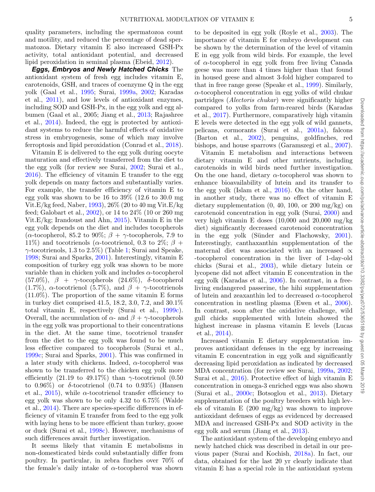quality parameters, including the spermatozoa count and motility, and reduced the percentage of dead spermatozoa. Dietary vitamin E also increased GSH-Px activity, total antioxidant potential, and decreased lipid peroxidation in seminal plasma (Ebeid, 2012).

*Eggs, Embryos and Newly Hatched Chicks* The antioxidant system of fresh egg includes vitamin E, carotenoids, GSH, and traces of coenzyme Q in the egg yolk (Gaal et al., 1995; Surai, 1999a, 2002; Karadas et al., 2011), and low levels of antioxidant enzymes, including SOD and GSH-Px, in the egg yolk and egg albumen (Gaal et al., 2005; Jiang et al., 2013; Rajashree et al., 2014). Indeed, the egg is protected by antioxidant systems to reduce the harmful effects of oxidative stress in embryogenesis, some of which may involve ferroptosis and lipid peroxidation (Conrad et al., 2018).

Vitamin E is delivered to the egg yolk during oocyte maturation and effectively transferred from the diet to the egg yolk (for review see Surai, 2002; Surai et al.,  $2016$ ). The efficiency of vitamin E transfer to the egg yolk depends on many factors and substantially varies. For example, the transfer efficiency of vitamin E to egg yolk was shown to be 16 to 39% (12.6 to 30.0 mg Vit.E/kg feed, Naber, 1993), 26% (20 to 40 mg Vit.E/kg feed; Galobart et al., 2002), or 14 to 24% (10 or 260 mg Vit.E/kg; Irandoust and Ahn, 2015). Vitamin E in the egg yolk depends on the diet and includes tocopherols ( $\alpha$ -tocopherol, 85.2 to 90%;  $\beta + \gamma$ -tocopherols, 7.9 to 11%) and tocotrienols ( $\alpha$ -tocotrienol, 0.3 to 2%;  $\beta$  +  $\gamma$ -tocotrienols, 1.3 to 2.5%) (Table 1; Surai and Speake, 1998; Surai and Sparks, 2001). Interestingly, vitamin E composition of turkey egg yolk was shown to be more variable than in chicken yolk and includes  $\alpha$ -tocopherol (57.0%),  $\beta + \gamma$ -tocopherols (24.6%),  $\delta$ -tocopherol (1.7%),  $\alpha$ -tocotrienol (5.7%), and  $\beta + \gamma$ -tocotrienols (11.0%). The proportion of the same vitamin E forms in turkey diet comprised 41.5, 18.2, 3.0, 7.2, and 30.1% total vitamin E, respectively (Surai et al., 1999c). Overall, the accumulation of  $\alpha$ - and  $\beta + \gamma$ -tocopherols in the egg yolk was proportional to their concentrations in the diet. At the same time, tocotrienol transfer from the diet to the egg yolk was found to be much less effective compared to tocopherols (Surai et al., 1999c; Surai and Sparks, 2001). This was confirmed in a later study with chickens. Indeed,  $\alpha$ -tocopherol was shown to be transferred to the chicken egg yolk more efficiently (21.19 to 49.17%) than  $\gamma$ -tocotrienol (0.50 to 0.96%) or  $\delta$ -tocotrienol (0.74 to 0.93%) (Hansen et al., 2015), while  $\alpha$ -tocotrienol transfer efficiency to egg yolk was shown to be only 4.32 to 6.75% (Walde et al., 2014). There are species-specific differences in efficiency of vitamin E transfer from feed to the egg yolk with laying hens to be more efficient than turkey, goose or duck (Surai et al., 1998c). However, mechanisms of such differences await further investigation.

It seems likely that vitamin E metabolisms in non-domesticated birds could substantially differ from poultry. In particular, in zebra finches over 70% of the female's daily intake of  $\alpha$ -tocopherol was shown

to be deposited in egg yolk (Royle et al., 2003). The importance of vitamin E for embryo development can be shown by the determination of the level of vitamin E in egg yolk from wild birds. For example, the level of  $\alpha$ -tocopherol in egg yolk from free living Canada geese was more than 4 times higher than that found in housed geese and almost 3-fold higher compared to that in free range geese (Speake et al., 1999). Similarly,  $\alpha$ -tocopherol concentration in egg yolks of wild chukar partridges (*Alectoris chukar*) were significantly higher compared to yolks from farm-reared birds (Karadas et al., 2017). Furthermore, comparatively high vitamin E levels were detected in the egg yolk of wild gannets, pelicans, cormorants (Surai et al., 2001a), falcons (Barton et al., 2002), penguins, goldfinches, red bishops, and house sparrows (Garamszegi et al., 2007).

Vitamin E metabolism and interactions between dietary vitamin E and other nutrients, including carotenoids in wild birds need further investigation. On the one hand, dietary  $\alpha$ -tocopherol was shown to enhance bioavailability of lutein and its transfer to the egg yolk (Islam et al., 2016). On the other hand, in another study, there was no effect of vitamin E dietary supplementation  $(0, 40, 100, 000)$  mg/kg) on carotenoid concentration in egg yolk (Surai, 2000) and very high vitamin E doses (10,000 and 20,000 mg/kg diet) significantly decreased carotenoid concentration in the egg yolk (Sünder and Flachowsky, 2001). Interestingly, canthaxanthin supplementation of the maternal diet was associated with an increased  $\alpha$ -tocopherol concentration in the liver of 1-day-old chicks (Surai et al., 2003), while dietary lutein or lycopene did not affect vitamin E concentration in the egg yolk (Karadas et al., 2006). In contrast, in a freeliving endangered passerine, the hihi supplementation of lutein and zeaxanthin led to decreased  $\alpha$ -tocopherol concentration in nestling plasma (Ewen et al., 2006). In contrast, soon after the oxidative challenge, wild gull chicks supplemented with lutein showed the highest increase in plasma vitamin E levels (Lucas et al., 2014).

Increased vitamin E dietary supplementation improves antioxidant defenses in the egg by increasing vitamin E concentration in egg yolk and significantly decreasing lipid peroxidation as indicated by decreased MDA concentration (for review see Surai, 1999a, 2002; Surai et al., 2016). Protective effect of high vitamin E concentration in omega-3 enriched eggs was also shown (Surai et al., 2000c; Botsoglou et al., 2013). Dietary supplementation of the poultry breeders with high levels of vitamin E (200 mg/kg) was shown to improve antioxidant defenses of eggs as evidenced by decreased MDA and increased GSH-Px and SOD activity in the egg yolk and serum (Jiang et al., 2013).

The antioxidant system of the developing embryo and newly hatched chick was described in detail in our previous paper (Surai and Kochish, 2018a). In fact, our data, obtained for the last 20 yr clearly indicate that vitamin E has a special role in the antioxidant system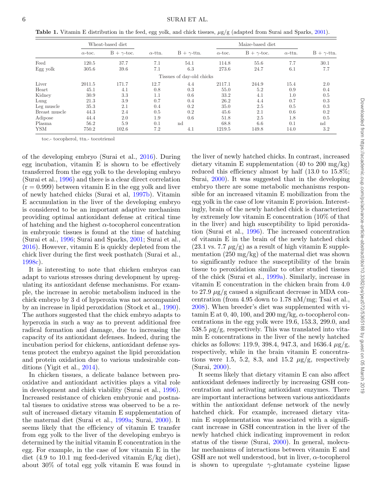**Table 1.** Vitamin E distribution in the feed, egg yolk, and chick tissues, μg/g (adapted from Surai and Sparks, 2001).

|               | Wheat-based diet |                    |                |                           | Maize-based diet |                    |                |                    |
|---------------|------------------|--------------------|----------------|---------------------------|------------------|--------------------|----------------|--------------------|
|               | $\alpha$ -toc.   | $B + \gamma$ -toc. | $\alpha$ -ttn. | $B + \gamma$ -ttn.        | $\alpha$ -toc.   | $B + \gamma$ -toc. | $\alpha$ -ttn. | $B + \gamma$ -ttn. |
| Feed          | 120.5            | 37.7               | 7.1            | 54.1                      | 114.8            | 55.6               | 7.7            | 30.1               |
| Egg yolk      | 305.6            | 39.6               | 7.1            | 6.3                       | 273.6            | 24.7               | 6.1            | 7.7                |
|               |                  |                    |                | Tissues of day-old chicks |                  |                    |                |                    |
| Liver         | 2011.5           | 171.7              | 12.7           | 4.4                       | 2117.1           | 244.9              | 15.4           | 2.0                |
| Heart         | 45.1             | 4.1                | 0.8            | 0.3                       | 55.0             | 5.2                | 0.9            | 0.4                |
| Kidney        | 30.9             | 3.3                | 1.1            | 0.6                       | 33.2             | 4.1                | 1.0            | 0.5                |
| Lung          | 21.3             | 3.9                | 0.7            | 0.4                       | 26.2             | 4.4                | 0.7            | 0.3                |
| Leg muscle    | 35.3             | 2.1                | 0.4            | 0.2                       | 35.0             | 2.5                | 0.5            | 0.3                |
| Breast muscle | 44.3             | 2.4                | 0.5            | 0.2                       | 45.6             | 2.1                | 0.6            | 0.2                |
| Adipose       | 44.4             | 2.0                | 1.9            | 0.6                       | 51.8             | 2.5                | 1.8            | 0.5                |
| Plasma        | 56.2             | 5.9                | 0.1            | nd                        | 68.8             | 6.6                | 0.1            | $^{\rm nd}$        |
| <b>YSM</b>    | 750.2            | 102.6              | 7.2            | 4.1                       | 1219.5           | 149.8              | 14.0           | 3.2                |

toc.- tocopherol, ttn.- tocotrienol

of the developing embryo (Surai et al., 2016). During egg incubation, vitamin E is shown to be effectively transferred from the egg yolk to the developing embryo (Surai et al., 1996) and there is a clear direct correlation  $(r = 0.999)$  between vitamin E in the egg yolk and liver of newly hatched chicks (Surai et al, 1997b). Vitamin E accumulation in the liver of the developing embryo is considered to be an important adaptive mechanism providing optimal antioxidant defense at critical time of hatching and the highest  $\alpha$ -tocopherol concentration in embryonic tissues is found at the time of hatching (Surai et al., 1996; Surai and Sparks, 2001; Surai et al., 2016). However, vitamin E is quickly depleted from the chick liver during the first week posthatch (Surai et al., 1998c).

It is interesting to note that chicken embryos can adapt to various stresses during development by upregulating its antioxidant defense mechanisms. For example, the increase in aerobic metabolism induced in the chick embryo by 3 d of hyperoxia was not accompanied by an increase in lipid peroxidation (Stock et al., 1990). The authors suggested that the chick embryo adapts to hyperoxia in such a way as to prevent additional free radical formation and damage, due to increasing the capacity of its antioxidant defenses. Indeed, during the incubation period for chickens, antioxidant defense systems protect the embryo against the lipid peroxidation and protein oxidation due to various undesirable conditions (Yigit et al., 2014).

In chicken tissues, a delicate balance between prooxidative and antioxidant activities plays a vital role in development and chick viability (Surai et al., 1996). Increased resistance of chicken embryonic and postnatal tissues to oxidative stress was observed to be a result of increased dietary vitamin E supplementation of the maternal diet (Surai et al., 1999a; Surai, 2000). It seems likely that the efficiency of vitamin E transfer from egg yolk to the liver of the developing embryo is determined by the initial vitamin E concentration in the egg. For example, in the case of low vitamin E in the diet (4.9 to 10.1 mg feed-derived vitamin E/kg diet), about 30% of total egg yolk vitamin E was found in the liver of newly hatched chicks. In contrast, increased dietary vitamin E supplementation (40 to 200 mg/kg) reduced this efficiency almost by half (13.0 to 15.8%; Surai, 2000). It was suggested that in the developing embryo there are some metabolic mechanisms responsible for an increased vitamin E mobilization from the egg yolk in the case of low vitamin E provision. Interestingly, brain of the newly hatched chick is characterized by extremely low vitamin E concentration (10% of that in the liver) and high susceptibility to lipid peroxidation (Surai et al., 1996). The increased concentration of vitamin E in the brain of the newly hatched chick  $(23.1 \text{ vs. } 7.7 \mu g/g)$  as a result of high vitamin E supplementation (250 mg/kg) of the maternal diet was shown to significantly reduce the susceptibility of the brain tissue to peroxidation similar to other studied tissues of the chick (Surai et al., 1999a). Similarly, increase in vitamin E concentration in the chicken brain from 4.0 to 27.9  $\mu$ g/g caused a significant decrease in MDA concentration (from 4.95 down to 1.78 nM/mg; Tsai et al., 2008). When breeder's diet was supplemented with vitamin E at 0, 40, 100, and 200 mg/kg,  $\alpha$ -tocopherol concentrations in the egg yolk were 19.6, 153.3, 299.0, and  $538.5 \mu g/g$ , respectively. This was translated into vitamin E concentrations in the liver of the newly hatched chicks as follows: 119.9, 398.4, 947.3, and 1636.4  $\mu$ g/g, respectively, while in the brain vitamin E concentrations were 1.5, 5.2, 8.3, and 15.2  $\mu$ g/g, respectively (Surai, 2000).

It seems likely that dietary vitamin E can also affect antioxidant defenses indirectly by increasing GSH concentration and activating antioxidant enzymes. There are important interactions between various antioxidants within the antioxidant defense network of the newly hatched chick. For example, increased dietary vitamin E supplementation was associated with a significant increase in GSH concentration in the liver of the newly hatched chick indicating improvement in redox status of the tissue (Surai, 2000). In general, molecular mechanisms of interactions between vitamin E and GSH are not well understood, but in liver,  $\alpha$ -tocopherol is shown to upregulate  $\gamma$ -glutamate cysteine ligase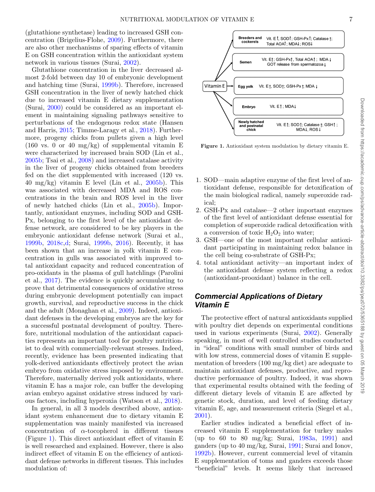(glutathione synthetase) leading to increased GSH concentration (Brigelius-Flohe, 2009). Furthermore, there are also other mechanisms of sparing effects of vitamin E on GSH concentration within the antioxidant system network in various tissues (Surai, 2002).

Glutathione concentration in the liver decreased almost 2-fold between day 10 of embryonic development and hatching time (Surai, 1999b). Therefore, increased GSH concentration in the liver of newly hatched chick due to increased vitamin E dietary supplementation (Surai, 2000) could be considered as an important element in maintaining signaling pathways sensitive to perturbations of the endogenous redox state (Hansen and Harris, 2015; Timme-Laragy et al., 2018). Furthermore, progeny chicks from pullets given a high level  $(160 \text{ vs. } 0 \text{ or } 40 \text{ mg/kg})$  of supplemental vitamin E were characterized by increased brain SOD (Lin et al., 2005b; Tsai et al., 2008) and increased catalase activity in the liver of progeny chicks obtained from breeders fed on the diet supplemented with increased (120 vs. 40 mg/kg) vitamin E level (Lin et al.,  $2005b$ ). This was associated with decreased MDA and ROS concentrations in the brain and ROS level in the liver of newly hatched chicks (Lin et al., 2005b). Importantly, antioxidant enzymes, including SOD and GSH-Px, belonging to the first level of the antioxidant defense network, are considered to be key players in the embryonic antioxidant defense network (Surai et al., 1999b, 2018c,d; Surai, 1999b, 2016). Recently, it has been shown that an increase in yolk vitamin E concentration in gulls was associated with improved total antioxidant capacity and reduced concentration of pro-oxidants in the plasma of gull hatchlings (Parolini et al., 2017). The evidence is quickly accumulating to prove that detrimental consequences of oxidative stress during embryonic development potentially can impact growth, survival, and reproductive success in the chick and the adult (Monaghan et al., 2009). Indeed, antioxidant defenses in the developing embryos are the key for a successful postnatal development of poultry. Therefore, nutritional modulation of the antioxidant capacities represents an important tool for poultry nutritionist to deal with commercially-relevant stresses. Indeed, recently, evidence has been presented indicating that yolk-derived antioxidants effectively protect the avian embryo from oxidative stress imposed by environment. Therefore, maternally derived yolk antioxidants, where vitamin E has a major role, can buffer the developing avian embryo against oxidative stress induced by various factors, including hyperoxia (Watson et al., 2018).

In general, in all 3 models described above, antioxidant system enhancement due to dietary vitamin E supplementation was mainly manifested via increased concentration of  $\alpha$ -tocopherol in different tissues (Figure 1). This direct antioxidant effect of vitamin E is well researched and explained. However, there is also indirect effect of vitamin E on the efficiency of antioxidant defense networks in different tissues. This includes modulation of:



**Figure 1.** Antioxidant system modulation by dietary vitamin E.

- 1. SOD—main adaptive enzyme of the first level of antioxidant defense, responsible for detoxification of the main biological radical, namely superoxide radical;
- 2. GSH-Px and catalase—2 other important enzymes of the first level of antioxidant defense essential for completion of superoxide radical detoxification with a conversion of toxic  $H_2O_2$  into water;
- 3. GSH—one of the most important cellular antioxidant participating in maintaining redox balance in the cell being co-substrate of GSH-Px;
- 4. total antioxidant activity—an important index of the antioxidant defense system reflecting a redox (antioxidant-prooxidant) balance in the cell.

#### *Commercial Applications of Dietary Vitamin E*

The protective effect of natural antioxidants supplied with poultry diet depends on experimental conditions used in various experiments (Surai, 2002). Generally speaking, in most of well controlled studies conducted in "ideal" conditions with small number of birds and with low stress, commercial doses of vitamin E supplementation of breeders (100 mg/kg diet) are adequate to maintain antioxidant defenses, productive, and reproductive performance of poultry. Indeed, it was shown that experimental results obtained with the feeding of different dietary levels of vitamin E are affected by genetic stock, duration, and level of feeding dietary vitamin E, age, and measurement criteria (Siegel et al., 2001).

Earlier studies indicated a beneficial effect of increased vitamin E supplementation for turkey males (up to 60 to 80 mg/kg; Surai, 1983a, 1991) and ganders (up to 40 mg/kg, Surai, 1991; Surai and Ionov, 1992b). However, current commercial level of vitamin E supplementation of toms and ganders exceeds those "beneficial" levels. It seems likely that increased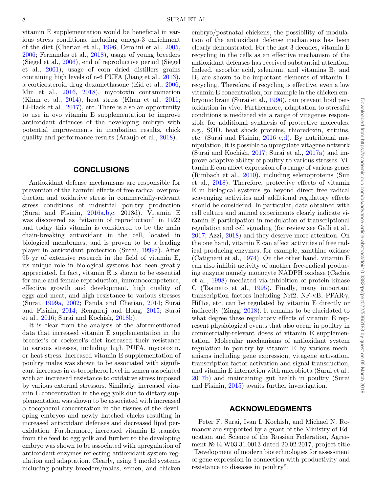vitamin E supplementation would be beneficial in various stress conditions, including omega-3 enrichment of the diet (Cherian et al., 1996; Cerolini et al., 2005, 2006; Fernandes et al., 2018), usage of young breeders (Siegel et al., 2006), end of reproductive period (Siegel et al., 2001), usage of corn dried distillers grains containing high levels of n-6 PUFA (Jiang et al., 2013), a corticosteroid drug dexamethasone (Eid et al., 2006, Min et al., 2016, 2018), mycotoxin contamination (Khan et al., 2014), heat stress (Khan et al., 2011; El-Hack et al., 2017), etc. There is also an opportunity to use in ovo vitamin E supplementation to improve antioxidant defences of the developing embryo with potential improvements in incubation results, chick quality and performance results (Araujo et al., 2018).

#### **CONCLUSIONS**

Antioxidant defense mechanisms are responsible for prevention of the harmful effects of free radical overproduction and oxidative stress in commercially-relevant stress conditions of industrial poultry production (Surai and Fisinin, 2016a,b,c, 2018d). Vitamin E was discovered as "vitamin of reproduction" in 1922 and today this vitamin is considered to be the main chain-breaking antioxidant in the cell, located in biological membranes, and is proven to be a leading player in antioxidant protection (Surai, 1999a). After 95 yr of extensive research in the field of vitamin E, its unique role in biological systems has been greatly appreciated. In fact, vitamin E is shown to be essential for male and female reproduction, immunocompetence, effective growth and development, high quality of eggs and meat, and high resistance to various stresses (Surai, 1999a, 2002; Panda and Cherian, 2014; Surai and Fisinin, 2014; Rengaraj and Hong, 2015; Surai et al., 2016; Surai and Kochish, 2018b).

It is clear from the analysis of the aforementioned data that increased vitamin E supplementation in the breeder's or cockerel's diet increased their resistance to various stresses, including high PUFA, mycotoxin, or heat stress. Increased vitamin E supplementation of poultry males was shown to be associated with significant increases in  $\alpha$ -tocopherol level in semen associated with an increased resistance to oxidative stress imposed by various external stressors. Similarly, increased vitamin E concentration in the egg yolk due to dietary supplementation was shown to be associated with increased  $\alpha$ -tocopherol concentration in the tissues of the developing embryos and newly hatched chicks resulting in increased antioxidant defenses and decreased lipid peroxidation. Furthermore, increased vitamin E transfer from the feed to egg yolk and further to the developing embryo was shown to be associated with upregulation of antioxidant enzymes reflecting antioxidant system regulation and adaptation. Clearly, using 3 model systems including poultry breeders/males, semen, and chicken

embryo/postnatal chickens, the possibility of modulation of the antioxidant defense mechanisms has been clearly demonstrated. For the last 3 decades, vitamin E recycling in the cells as an effective mechanism of the antioxidant defenses has received substantial attention. Indeed, ascorbic acid, selenium, and vitamins  $B_1$  and  $B_2$  are shown to be important elements of vitamin E recycling. Therefore, if recycling is effective, even a low vitamin E concentration, for example in the chicken embryonic brain (Surai et al., 1996), can prevent lipid peroxidation in vivo. Furthermore, adaptation to stressful conditions is mediated via a range of vitagenes responsible for additional synthesis of protective molecules, e.g., SOD, heat shock proteins, thioredoxin, sirtuins, etc. (Surai and Fisinin, 2016 c,d). By nutritional manipulation, it is possible to upregulate vitagene network (Surai and Kochish, 2017; Surai et al., 2017a) and improve adaptive ability of poultry to various stresses. Vitamin E can affect expression of a range of various genes (Rimbach et al., 2010), including selenoproteins (Sun et al., 2018). Therefore, protective effects of vitamin E in biological systems go beyond direct free radical scavenging activities and additional regulatory effects should be considered. In particular, data obtained with cell culture and animal experiments clearly indicate vitamin E participation in modulation of transcriptional regulation and cell signaling (for review see Galli et al., 2017; Azzi, 2018) and they deserve more attention. On the one hand, vitamin E can affect activities of free radical producing enzymes, for example, xanthine oxidase (Catignani et al., 1974). On the other hand, vitamin E can also inhibit activity of another free-radical producing enzyme namely monocyte NADPH oxidase (Cachia et al., 1998) mediated via inhibition of protein kinase C (Tasinato et al., 1995). Finally, many important transcription factors including Nrf2, NF- $\kappa$ B, PPAR $\gamma$ , Hif $1\alpha$ , etc. can be regulated by vitamin E directly or indirectly (Zingg, 2018). It remains to be elucidated to what degree these regulatory effects of vitamin E represent physiological events that also occur in poultry in commercially-relevant doses of vitamin E supplementation. Molecular mechanisms of antioxidant system regulation in poultry by vitamin E by various mechanisms including gene expression, vitagene activation, transcription factor activation and signal transduction, and vitamin E interaction with microbiota (Surai et al., 2017b) and maintaining gut health in poultry (Surai and Fisinin, 2015) awaits further investigation.

#### **ACKNOWLEDGMENTS**

Peter F. Surai, Ivan I. Kochish, and Michael N. Romanov are supported by a grant of the Ministry of Education and Science of the Russian Federation, Agreement № l4.W03.31.0013 dated 20.02.2017, project title "Development of modern biotechnologies for assessment of gene expression in connection with productivity and resistance to diseases in poultry".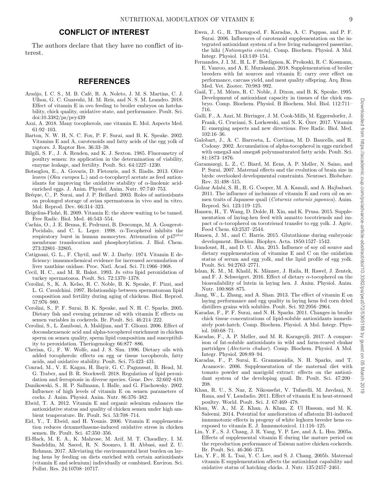#### **CONFLICT OF INTEREST**

The authors declare that they have no conflict of interest.

#### **REFERENCES**

- Araújo, I. C. S., M. B. Café, R. A. Noleto, J. M. S. Martins, C. J. Ulhoa, G. C. Guareshi, M. M. Reis, and N. S. M. Leandro. 2018. Effect of vitamin E in ovo feeding to broiler embryos on hatchability, chick quality, oxidative state, and performance. Poult. Sci. doi:10.3382/ps/pey439
- Azzi, A. 2018. Many tocopherols, one vitamin E. Mol. Aspects Med. 61:92–103.
- Barton, N. W. H, N. C. Fox, P. F. Surai, and B. K. Speake. 2002. Vitamins E and A, carotenoids and fatty acids of the egg yolk of raptors. J. Raptor Res. 36:33–38.
- Bilgili, S. F., J. A. Renden, and K. J. Sexton. 1985. Fluorometry of poultry semen: its application in the determination of viability, enzyme leakage, and fertility. Poult. Sci. 64:1227–1230.
- Botsoglou, E., A. Govaris, D. Fletouris, and S. Iliadis. 2013. Olive leaves (*Olea europea* L.) and α-tocopheryl acetate as feed antioxidants for improving the oxidative stability of  $\alpha$ -linolenic acidenriched eggs. J. Anim. Physiol. Anim. Nutr. 97:740–753.
- Bréque, C., P. Surai, and J. P. Brillard. 2003. Roles of antioxidants on prolonged storage of avian spermatozoa in vivo and in vitro. Mol. Reprod. Dev. 66:314–323.
- Brigelius-Flohé, R. 2009. Vitamin E: the shrew waiting to be tamed. Free Radic. Biol. Med. 46:543–554.
- Cachia, O., J. E. Benna, E. Pedruzzi, B. Descomps, M. A. Gougerot-Pocidalo, and C. L. Leger. 1998.  $\alpha$ -Tocopherol inhibits the respiratory burst in human monocytes. Attenuation of p47*phox* membrane translocation and phosphorylation. J. Biol. Chem. 273:32801–32805.
- Catignani, G. L., F. Chytil, and W. J. Darby. 1974. Vitamin E deficiency: immunochemical evidence for increased accumulation of liver xanthine oxidase. Proc. Natl. Acad. Sci. 71:1966–1968.
- Cecil, H. C., and M. R. Bakst. 1993. *In vitro* lipid peroxidation of turkey spermatozoa. Poult. Sci. 72:1370–1378.
- Cerolini, S., K. A. Kelso, R. C. Noble, B. K. Speake, F. Pizzi, and L. G. Cavalchini. 1997. Relationship between spermatozoan lipid composition and fertility during aging of chickens. Biol. Reprod. 57:976–980.
- Cerolini, S., P. F. Surai, B. K. Speake, and N. H. C. Sparks. 2005. Dietary fish and evening primrose oil with vitamin E effects on semen variables in cockerels. Br. Poult. Sci. 46:214–222.
- Cerolini, S., L. Zaniboni, A. Maldjian, and T. Gliozzi. 2006. Effect of docosahexaenoic acid and alpha-tocopherol enrichment in chicken sperm on semen quality, sperm lipid composition and susceptibility to peroxidation. Theriogenology 66:877–886.
- Cherian, G., F. W. Wolfe, and J. S. Sim. 1996. Dietary oils with added tocopherols: effects on egg or tissue tocopherols, fatty acids, and oxidative stability. Poult. Sci. 75:423–431.
- Conrad, M., V. E. Kagan, H. Bayir, G. C. Pagnussat, B. Head, M. G. Traber, and B. R. Stockwell. 2018. Regulation of lipid peroxidation and ferroptosis in diverse species. Gene. Dev. 32:602–619.
- Danikowski, S., H. P. Sallmann, I. Halle, and G. Flachowsky. 2002. Influence of high levels of vitamin E on semen parameters of cocks. J. Anim. Physiol. Anim. Nutr. 86:376–382.
- Ebeid, T. A. 2012. Vitamin E and organic selenium enhances the antioxidative status and quality of chicken semen under high ambient temperature. Br. Poult. Sci. 53:708–714.
- Eid, Y., T. Ebeid, and H. Younis. 2006. Vitamin E supplementation reduces dexamethasone-induced oxidative stress in chicken semen. Br. Poult. Sci. 47:350–356.
- El-Hack, M. E. A., K. Mahrose, M. Arif, M. T. Chaudhry, I. M. Saadeldin, M. Saeed, R. N. Soomro, I. H. Abbasi, and Z. U. Rehman. 2017. Alleviating the environmental heat burden on laying hens by feeding on diets enriched with certain antioxidants (vitamin E and selenium) individually or combined. Environ. Sci. Pollut. Res. 24:10708–10717.
- Ewen, J. G., R. Thorogood, F. Karadas, A. C. Pappas, and P. F. Surai. 2006. Influences of carotenoid supplementation on the integrated antioxidant system of a free living endangered passerine, the hihi (*Notiomystis cincta*). Comp. Biochem. Physiol. A Mol. Integr. Physiol. 143:149–154.
- Fernandes, J. I. M., H. L. F. Bordignon, K. Prokoski, R. C. Kosmann, E. Vanroo, and A. E. Murakami. 2018. Supplementation of broiler breeders with fat sources and vitamin E: carry over effect on performance, carcass yield, and meat quality offspring. Arq. Bras. Med. Vet. Zootec. 70:983–992.
- Gaál, T., M. Mézes, R. C. Noble, J. Dixon, and B. K. Speake. 1995. Development of antioxidant capacity in tissues of the chick embryo. Comp. Biochem. Physiol. B Biochem. Mol. Biol. 112:711– 716.
- Galli, F., A. Azzi, M. Birringer, J. M. Cook-Mills, M. Eggersdorfer, J. Frank, G. Cruciani, S. Lorkowski, and N. K. Özer. 2017. Vitamin E: emerging aspects and new directions. Free Radic. Biol. Med. 102:16–36.
- Galobart, J., A. C. Barroeta, L. Cortinas, M. D. Baucells, and R. Codony. 2002. Accumulation of alpha-tocopherol in eggs enriched with omega3 and omega6 polyunsaturated fatty acids. Poult. Sci. 81:1873–1876.
- Garamszegi, L. Z., C. Biard, M. Eens, A. P. Møller, N. Saino, and P. Surai. 2007. Maternal effects and the evolution of brain size in birds: overlooked developmental constraints. Neurosci. Biobehav. Rev. 31:498–515.
- Golzar Adabi, S. H., R. G. Cooper, M. A. Kamali, and A. Hajbabaei. 2011. The influence of inclusions of vitamin E and corn oil on semen traits of Japanese quail (*Coturnix coturnix japonica*). Anim. Reprod. Sci. 123:119–125.
- Hansen, H., T. Wang, D. Dolde, H. Xin, and K. Prusa. 2015. Supplementation of laying-hen feed with annatto tocotrienols and impact of  $\alpha$ -tocopherol on tocotrienol transfer to egg yolk. J. Agric. Food Chem. 63:2537–2544.
- Hansen, J. M., and C. Harris. 2015. Glutathione during embryonic development. Biochim. Biophys. Acta. 1850:1527–1542.
- Irandoust, H., and D. U. Ahn. 2015. Influence of soy oil source and dietary supplementation of vitamins E and C on the oxidation status of serum and egg yolk, and the lipid profile of egg yolk. Poult. Sci. 94:2763–2771.
- Islam, K. M., M. Khalil, K. Männer, J. Raila, H. Rawel, J. Zentek, and F. J. Schweigert. 2016. Effect of dietary  $\alpha$ -tocopherol on the bioavailability of lutein in laying hen. J. Anim. Physiol. Anim. Nutr. 100:868–875.
- Jiang, W., L. Zhang, and A. Shan. 2013. The effect of vitamin E on laying performance and egg quality in laying hens fed corn dried distillers grains with solubles. Poult. Sci. 92:2956–2964.
- Karadas, F., P. F. Surai, and N. H. Sparks. 2011. Changes in broiler chick tissue concentrations of lipid-soluble antioxidants immediately post-hatch. Comp. Biochem. Physiol. A Mol. Integr. Physiol. 160:68–71.
- Karadas, F., A. P. Møller, and M. R. Karageçili. 2017. A comparison of fat-soluble antioxidants in wild and farm-reared chukar partridges (*Alectoris chukar*). Comp. Biochem. Physiol. A Mol. Integr. Physiol. 208:89–94.
- Karadas, F., P. Surai, E. Grammenidis, N. H. Sparks, and T. Acamovic. 2006. Supplementation of the maternal diet with tomato powder and marigold extract: effects on the antioxidant system of the developing quail. Br. Poult. Sci. 47:200– 208.
- Khan, R. U., S. Naz, Z. Nikousefat, V. Tufarelli, M. Javdani, N. Rana, and V. Laudadio. 2011. Effect of vitamin E in heat-stressed poultry. World. Poult. Sci. J. 67:469–478.
- Khan, W. A., M. Z. Khan, A. Khan, Z. Ul Hassan, and M. K. Saleemi. 2014. Potential for amelioration of aflatoxin B1-induced immunotoxic effects in progeny of white leghorn breeder hens coexposed to vitamin E. J. Immunotoxicol. 11:116–125.
- Lin, Y. F., S. J. Chang, J. R. Yang, Y. P. Lee, and A. L. Hsu. 2005a. Effects of supplemental vitamin E during the mature period on the reproduction performance of Taiwan native chicken cockerels. Br. Poult. Sci. 46:366–373.
- Lin, Y. F., H. L. Tsai, Y. C. Lee, and S. J. Chang. 2005b. Maternal vitamin E supplementation affects the antioxidant capability and oxidative status of hatching chicks. J. Nutr. 135:2457–2461.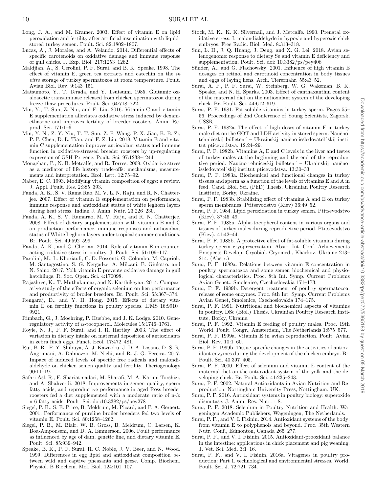- Long, J. A., and M. Kramer. 2003. Effect of vitamin E on lipid peroxidation and fertility after artificial insemination with liquidstored turkey semen. Poult. Sci. 82:1802–1807.
- Lucas, A., J. Morales, and A. Velando. 2014. Differential effects of specific carotenoids on oxidative damage and immune response of gull chicks. J. Exp. Biol. 217:1253–1262.
- Maldjian, A., S. Cerolini, P. F. Surai, and B. K. Speake. 1998. The effect of vitamin E, green tea extracts and catechin on the *in vitro* storage of turkey spermatozoa at room temperature. Poult. Avian Biol. Rev. 9:143–151.
- Matsumoto, Y., T. Terada, and Y. Tsutsumi. 1985. Glutamic oxaloacetic transaminase released from chicken spermatozoa during freeze-thaw procedures. Poult. Sci. 64:718–722.
- Min, Y., T. Sun, Z. Niu, and F. Liu. 2016. Vitamin C and vitamin E supplementation alleviates oxidative stress induced by dexamethasone and improves fertility of breeder roosters. Anim. Reprod. Sci. 171:1–6.
- Min, Y. N., Z. Y. Niu, T. T. Sun, Z. P. Wang, P. X. Jiao, B. B. Zi, P. P. Chen, D. L. Tian, and F. Z. Liu. 2018. Vitamin E and vitamin C supplementation improves antioxidant status and immune function in oxidative-stressed breeder roosters by up-regulating expression of GSH-Px gene. Poult. Sci. 97:1238–1244.
- Monaghan, P., N. B. Metcalfe, and R. Torres. 2009. Oxidative stress as a mediator of life history trade-offs: mechanisms, measurements and interpretation. Ecol. Lett. 12:75–92.
- Naber, E. C. 1993. Modifying vitamin composition of eggs: a review. J. Appl. Poult. Res. 2:385–393.
- Panda, A. K., S. V. Rama Rao, M. V. L. N. Raju, and R. N. Chatterjee. 2007. Effect of vitamin E supplementation on performance, immune response and antioxidant status of white leghorn layers during heat stress. Indian J. Anim. Nutr. 23:226–230.
- Panda, A. K., S. V. Ramarao, M. V. Raju, and R. N. Chatterjee. 2008. Effect of dietary supplementation with vitamins E and C on production performance, immune responses and antioxidant status of White Leghorn layers under tropical summer conditions. Br. Poult. Sci. 49:592–599.
- Panda, A. K., and G. Cherian. 2014. Role of vitamin E in counteracting oxidative stress in poultry. J. Poult. Sci. 51:109–117.
- Parolini, M., L. Khoriauli, C. D. Possenti, G. Colombo, M. Caprioli, M. Santagostino, S. G. Nergadze, A. Milzani, E. Giulotto, and N. Saino. 2017. Yolk vitamin E prevents oxidative damage in gull hatchlings. R. Soc. Open. Sci. 4:170098.
- Rajashree, K., T. Muthukumar, and N. Karthikeyan. 2014. Comparative study of the effects of organic selenium on hen performance and productivity of broiler breeders. Br. Poult. Sci. 55:367–374.
- Rengaraj, D., and Y. H. Hong. 2015. Effects of dietary vitamin E on fertility functions in poultry species. IJMS 16:9910– 9921.
- Rimbach, G., J. Moehring, P. Huebbe, and J. K. Lodge. 2010. Generegulatory activity of  $\alpha$ -tocopherol. Molecules 15:1746-1761.
- Royle, N. J., P. F. Surai, and I. R. Hartley. 2003. The effect of variation in dietary intake on maternal deposition of antioxidants in zebra finch eggs. Funct. Ecol. 17:472–481.
- Rui, B. R., F. Y. Shibuya, A. J. Kawaoku, J. D. A. Losano, D. S. R. Angrimani, A. Dalmazzo, M. Nichi, and R. J. G. Pereira. 2017. Impact of induced levels of specific free radicals and malondialdehyde on chicken semen quality and fertility. Theriogenology 90:11–19.
- Safari Asl, R., F. Shariatmadari, M. Sharafi, M. A. Karimi Torshizi, and A. Shahverdi. 2018. Improvements in semen quality, sperm fatty acids, and reproductive performance in aged Ross breeder roosters fed a diet supplemented with a moderate ratio of n-3: n-6 fatty acids. Poult. Sci. doi:10.3382/ps/pey278
- Siegel, P. B., S. E. Price, B. Meldrum, M. Picard, and P. A. Geraert. 2001. Performance of pureline broiler breeders fed two levels of vitamin E. Poult. Sci. 80:1258–1262.
- Siegel, P. B., M. Blair, W. B. Gross, B. Meldrum, C. Larsen, K. Boa-Amponsem, and D. A. Emmerson. 2006. Poult performance as influenced by age of dam, genetic line, and dietary vitamin E. Poult. Sci. 85:939–942.
- Speake, B. K., P. F. Surai, R. C. Noble, J. V. Beer, and N. Wood. 1999. Differences in egg lipid and antioxidant composition between wild and captive pheasants and geese. Comp. Biochem. Physiol. B Biochem. Mol. Biol. 124:101–107.
- Stock, M. K., K. K. Silvernail, and J. Metcalfe. 1990. Prenatal oxidative stress: I. malondialdehyde in hypoxic and hyperoxic chick embryos. Free Radic. Biol. Med. 8:313–318.
- Sun, L. H., J. Q. Huang, J. Deng, and X. G. Lei. 2018. Avian selenogenome: response to dietary Se and vitamin E deficiency and supplementation. Poult. Sci. doi: 10.3382/ps/pey408
- Sünder, A., and G. Flachowsky. 2001. Influence of high vitamin E dosages on retinol and carotinoid concentration in body tissues and eggs of laying hens. Arch. Tierernahr. 55:43–52.
- Surai, A. P., P. F. Surai, W. Steinberg, W. G. Wakeman, B. K. Speake, and N. H. Sparks. 2003. Effect of canthaxanthin content of the maternal diet on the antioxidant system of the developing chick. Br. Poult. Sci. 44:612–619.
- Surai, P. F. 1981. Fat-soluble vitamins in turkey sperm. Pages 55– 56. Proceedings of 2nd Conference of Young Scientists, Zagorsk, USSR.
- Surai, P. F. 1982a. The effect of high doses of vitamin E in turkey male diet on the GOT and LDH activity in stored sperm. Naučnotehničeskij bûlleten´ – Ukrainskij naučno-issledovatel´skij institut pticevodstva. 12:24–29.
- Surai, P. F. 1982b. Vitamins A, E and C levels in the liver and testes of turkey males at the beginning and the end of the reproductive period. Naučno-tehničeskij bûlleten´ – Ukrainskij naučnoissledovatel´skij institut pticevodstva. 13:30–33.
- Surai, P. F. 1983a. Biochemical and functional changes in turkey tissues and sperm as a function of the levels of vitamins E and A in feed. Cand. Biol. Sci. (PhD) Thesis. Ukrainian Poultry Research Institute, Borky, Ukraine.
- Surai, P. F. 1983b. Stabilizing effect of vitamins A and E on turkey sperm membranes. Ptitsevodstvo (Kiev) 36:49–52.
- Surai, P. F. 1984. Lipid peroxidation in turkey semen. Ptitsevodstvo (Kiev). 37:46–49.
- Surai, P. F. 1988a. Alpha-tocopherol content in various organs and tissues of turkey males during reproductive period. Ptitsevodstvo (Kiev). 41:42–44.
- Surai, P. F. 1988b. A protective effect of fat-soluble vitamins during turkey sperm cryopreservation. Abstr. Int. Conf. Achievements Prospects Develop. Cryobiol. Cryomed., Kharkov, Ukraine 213– 214. (Abstr.)
- Surai, P. F. 1989a. Relations between vitamin E concentration in poultry spermatozoa and some semen biochemical and physiological characteristics. Proc. 8th Int. Symp. Current Problems Avian Genet., Smolenice, Czechoslovakia 171–173.
- Surai, P. F. 1989b. Detergent treatment of poultry spermatozoa: release of some enzymes. Proc. 8th Int. Symp. Current Problems Avian Genet, Smolenice, Czechoslovakia 174–175.
- Surai, P. F. 1991. Nutritional and biochemical aspects of vitamins in poultry. DSc (Biol.) Thesis. Ukrainian Poultry Research Institute, Borky, Ukraine.
- Surai, P. F. 1992. Vitamin E feeding of poultry males. Proc. 19th World. Poult. Congr., Amsterdam, The Netherlands 1:575–577.
- Surai, P. F. 1999a. Vitamin E in avian reproduction. Poult. Avian Biol. Rev. 10:1–60.
- Surai, P. F. 1999b. Tissue-specific changes in the activities of antioxidant enzymes during the development of the chicken embryo. Br. Poult. Sci. 40:397–405.
- Surai, P. F. 2000. Effect of selenium and vitamin E content of the maternal diet on the antioxidant system of the yolk and the developing chick. Br. Poult. Sci. 41:235–243.
- Surai, P. F. 2002. Natural Antioxidants in Avian Nutrition and Reproduction. Nottingham University Press, Nottingham, UK.
- Surai, P. F. 2016. Antioxidant systems in poultry biology: superoxide dismutase. J. Anim. Res. Nutr. 1:8.
- Surai, P. F. 2018. Selenium in Poultry Nutrition and Health. Wageningen Academic Publishers, Wageningen, The Netherlands.
- Surai, P. F., and V. I. Fisinin. 2014. Antioxidant systems of the body: from vitamin E to polyphenols and beyond. Proc. 35th Western Nutr. Conf., Edmonton, Canada 265–277.
- Surai, P. F., and V. I. Fisinin. 2015. Antioxidant-prooxidant balance in the intestine: applications in chick placement and pig weaning. J. Vet. Sci. Med. 3:1–16.
- Surai, P. F., and V. I. Fisinin. 2016a. Vitagenes in poultry production: Part 1. technological and environmental stresses. World. Poult. Sci. J. 72:721–734.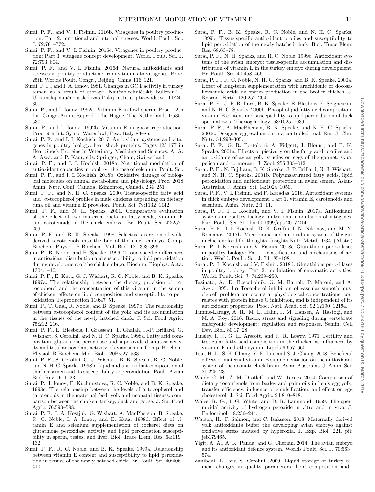- Surai, P. F., and V. I. Fisinin. 2016b. Vitagenes in poultry production: Part 2. nutritional and internal stresses. World. Poult. Sci. J. 72:761–772.
- Surai, P. F., and V. I. Fisinin. 2016c. Vitagenes in poultry production: Part 3. vitagene concept development. World. Poult. Sci. J. 72:793–804.
- Surai, P. F., and V. I. Fisinin. 2016d. Natural antioxidants and stresses in poultry production: from vitamins to vitagenes. Proc. 25th Worlds Poult. Congr., Beijing, China 116–121.
- Surai, P. F., and I. A. Ionov. 1981. Changes in GOT activity in turkey semen as a result of storage. Naučno-tehničeskij bûlleten´ Ukrainskij naučno-issledovatel´skij institut pticevodstva. 11:24-30.
- Surai, P., and I. Ionov. 1992a. Vitamin E in fowl sperm. Proc. 12th Int. Congr. Anim. Reprod., The Hague, The Netherlands 1:535– 537.
- Surai, P., and I. Ionov. 1992b. Vitamin E in goose reproduction. Proc. 9th Int. Symp. Waterfowl, Pisa, Italy 83–85.
- Surai, P. F., and I. I. Kochish. 2017. Antioxidant systems and vitagenes in poultry biology: heat shock proteins. Pages 123-177 in Heat Shock Proteins in Veterinary Medicine and Sciences. A. A. A. Asea, and P. Kaur, eds. Springer, Cham, Switzerland.
- Surai, P. F., and I. I. Kochish. 2018a. Nutritional modulation of antioxidant capacities in poultry: the case of selenium. Poult. Sci.
- Surai, P. F., and I. I. Kochish. 2018b. Oxidative damage of biological molecules on animal metabolism and physiology. Proc. 2018 Anim. Nutr. Conf. Canada, Edmonton, Canada 234–251.
- Surai, P. F., and N. H. C. Sparks. 2000. Tissue-specific fatty acid and  $\alpha$ -tocopherol profiles in male chickens depending on dietary tuna oil and vitamin E provision. Poult. Sci. 79:1132–1142.
- Surai, P. F., and N. H. Sparks. 2001. Comparative evaluation of the effect of two maternal diets on fatty acids, vitamin E and carotenoids in the chick embryo. Br. Poult. Sci. 42:252– 259.
- Surai, P. F, and B. K. Speake. 1998. Selective excretion of yolkderived tocotrienols into the bile of the chick embryo. Comp. Biochem. Physiol. B Biochem. Mol. Biol. 121:393–396.
- Surai, P., R. Noble, and B. Speake. 1996. Tissue-specific differences in antioxidant distribution and susceptibility to lipid peroxidation during development of the chick embryo. Biochim. Biophys. Acta. 1304:1–10.
- Surai, P. F., E. Kutz, G. J. Wishart, R. C. Noble, and B. K. Speake. 1997a. The relationship between the dietary provision of  $\alpha$ tocopherol and the concentration of this vitamin in the semen of chicken: effects on lipid composition and susceptibility to peroxidation. Reproduction 110:47–51.
- Surai, P., T. Gaal, R. Noble, and B. Speake. 1997b. The relationship between  $\alpha$ -tocopherol content of the yolk and its accumulation in the tissues of the newly hatched chick. J. Sci. Food Agric. 75:212–216.
- Surai, P. F., E. Blesbois, I. Grasseau, T. Ghalah, J.-P. Brillard, G. Wishart, S. Cerolini, and N. H. C. Sparks. 1998a. Fatty acid composition, glutathione peroxidase and superoxide dismutase activity and total antioxidant activity of avian semen. Comp. Biochem. Physiol. B Biochem. Mol. Biol. 120B:527–533.
- Surai, P. F., S. Cerolini, G. J. Wishart, B. K. Speake, R. C. Noble, and N. H. C. Sparks. 1998b. Lipid and antioxidant composition of chicken semen and its susceptibility to peroxidation. Poult. Avian Biol. Rev. 9:11–23.
- Surai, P., I. Ionov, E. Kuchmistova, R. C. Noble, and B. K. Speake. 1998c. The relationship between the levels of  $\alpha$ -tocopherol and carotenoids in the maternal feed, yolk and neonatal tissues: comparison between the chicken, turkey, duck and goose. J. Sci. Food Agric. 76:593–598.
- Surai, P. F., I. A. Kostjuk, G. Wishart, A. MacPherson, B. Speake, R. C. Noble, I. A. Ionov, and E. Kutz. 1998d. Effect of vitamin E and selenium supplementation of cockerel diets on glutathione peroxidase activity and lipid peroxidation susceptibility in sperm, testes, and liver. Biol. Trace Elem. Res. 64:119– 132.
- Surai, P. F., R. C. Noble, and B. K. Speake. 1999a. Relationship between vitamin E content and susceptibility to lipid peroxidation in tissues of the newly hatched chick. Br. Poult. Sci. 40:406– 410.
- Surai, P. F., B. K. Speake, R. C. Noble, and N. H. C. Sparks. 1999b. Tissue-specific antioxidant profiles and susceptibility to lipid peroxidation of the newly hatched chick. Biol. Trace Elem. Res. 68:63–78.
- Surai, P. F., N. H. Sparks, and R. C. Noble. 1999c. Antioxidant systems of the avian embryo: tissue-specific accumulation and distribution of vitamin E in the turkey embryo during development. Br. Poult. Sci. 40:458–466.
- Surai, P. F., R. C. Noble, N. H. C. Sparks, and B. K. Speake. 2000a. Effect of long-term supplementation with arachidonic or docosahexaenoic acids on sperm production in the broiler chicken. J. Reprod. Fertil. 120:257–264.
- Surai, P. F., J.-P. Brillard, B. K. Speake, E. Blesbois, F. Seigneurin, and N. H. C. Sparks. 2000b. Phospholipid fatty acid composition, vitamin E content and susceptibility to lipid peroxidation of duck spermatozoa. Theriogenology. 53:1025–1039.
- Surai, P. F., A. MacPherson, B. K. Speake, and N. H. C. Sparks. 2000c. Designer egg evaluation in a controlled trial. Eur. J. Clin. Nutr. 54:298–305.
- Surai, P. F., G. R. Bortolotti, A. Fidgett, J. Blount, and B. K. Speake. 2001a. Effects of piscivory on the fatty acid profiles and antioxidants of avian yolk: studies on eggs of the gannet, skua, pelican and cormorant. J. Zool. 255:305–312.
- Surai, P. F., N. Fujihara, B. K. Speake, J. P. Brillard, G. J. Wishart, and N. H. C. Sparks. 2001b. Polyunsaturated fatty acids, lipid peroxidation and antioxidant protection in avian semen. Asian-Australas. J. Anim. Sci. 14:1024–1050.
- Surai, P. F., V. I. Fisinin, and F. Karadas. 2016. Antioxidant systems in chick embryo development. Part 1. vitamin E, carotenoids and selenium. Anim. Nutr. 2:1–11.
- Surai, P. F., I. I. Kochish, and V. I. Fisinin. 2017a. Antioxidant systems in poultry biology: nutritional modulation of vitagenes. Eur. Poult. Sci. 81. doi:10.1399/eps.2017.214
- Surai, P. F., I. I. Kochish, D. K. Griffin, I. N. Nikonov, and M. N. Romanov. 2017b. Microbiome and antioxidant system of the gut in chicken: food for thoughts. Insights Nutr. Metab. 1:34. (Abstr.)
- Surai, P., I. Kochish, and V. Fisinin. 2018c. Glutathione peroxidases in poultry biology: Part 1. classification and mechanisms of action. World. Poult. Sci. J. 74:185–198.
- Surai, P., I. Kochish, and V. Fisinin. 2018d. Glutathione peroxidases in poultry biology: Part 2. modulation of enzymatic activities. World. Poult. Sci. J. 74:239–250.
- Tasinato, A., D. Boscoboinik, G. M. Bartoli, P. Maroni, and A. Azzi. 1995. d- $\alpha$ -Tocopherol inhibition of vascular smooth muscle cell proliferation occurs at physiological concentrations, correlates with protein kinase C inhibition, and is independent of its antioxidant properties. Proc. Natl. Acad. Sci. 92:12190–12194.
- Timme-Laragy, A. R., M. E. Hahn, J. M. Hansen, A. Rastogi, and M. A. Roy. 2018. Redox stress and signaling during vertebrate embryonic development: regulation and responses. Semin. Cell Dev. Biol. 80:17–28.
- Tinsley, I. J., G. H. Arscott, and R. R. Lowry. 1971. Fertility and testicular fatty acid composition in the chicken as influenced by vitamin E and ethoxyquin. Lipids 6:657–660.
- Tsai, H. L., S. K. Chang, Y. F. Lin, and S. J. Chang. 2008. Beneficial effects of maternal vitamin E supplementation on the antioxidant system of the neonate chick brain. Asian-Australas. J. Anim. Sci. 21:225–231.
- Walde, C. M., A. M. Drotleff, and W. Ternes. 2014. Comparison of dietary tocotrienols from barley and palm oils in hen's egg yolk: transfer efficiency, influence of emulsification, and effect on egg cholesterol. J. Sci. Food Agric. 94:810–818.
- Wales, R. G., I. G. White, and D. R. Lammond. 1959. The spermicidal activity of hydrogen peroxide in vitro and in vivo. J. Endocrinol. 18:236–244.
- Watson, H., P. Salmón, and C. Isaksson. 2018. Maternally derived yolk antioxidants buffer the developing avian embryo against oxidative stress induced by hyperoxia. J. Exp. Biol. 221. pii: jeb179465.
- Yigit, A. A., A. K. Panda, and G. Cherian. 2014. The avian embryo and its antioxidant defence system. Worlds Poult. Sci. J. 70:563– 574.
- Zaniboni, L., and S. Cerolini. 2009. Liquid storage of turkey semen: changes in quality parameters, lipid composition and